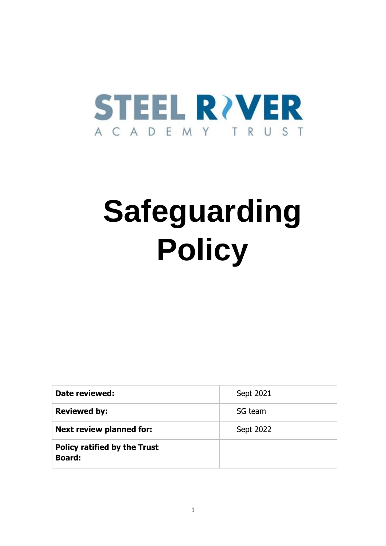

## **Safeguarding Policy**

| Date reviewed:                                       | Sept 2021 |
|------------------------------------------------------|-----------|
| <b>Reviewed by:</b>                                  | SG team   |
| <b>Next review planned for:</b>                      | Sept 2022 |
| <b>Policy ratified by the Trust</b><br><b>Board:</b> |           |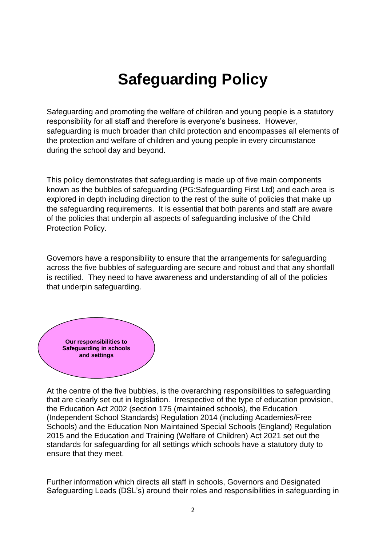## **Safeguarding Policy**

Safeguarding and promoting the welfare of children and young people is a statutory responsibility for all staff and therefore is everyone's business. However, safeguarding is much broader than child protection and encompasses all elements of the protection and welfare of children and young people in every circumstance during the school day and beyond.

This policy demonstrates that safeguarding is made up of five main components known as the bubbles of safeguarding (PG:Safeguarding First Ltd) and each area is explored in depth including direction to the rest of the suite of policies that make up the safeguarding requirements. It is essential that both parents and staff are aware of the policies that underpin all aspects of safeguarding inclusive of the Child Protection Policy.

Governors have a responsibility to ensure that the arrangements for safeguarding across the five bubbles of safeguarding are secure and robust and that any shortfall is rectified. They need to have awareness and understanding of all of the policies that underpin safeguarding.



At the centre of the five bubbles, is the overarching responsibilities to safeguarding that are clearly set out in legislation. Irrespective of the type of education provision, the Education Act 2002 (section 175 (maintained schools), the Education (Independent School Standards) Regulation 2014 (including Academies/Free Schools) and the Education Non Maintained Special Schools (England) Regulation 2015 and the Education and Training (Welfare of Children) Act 2021 set out the standards for safeguarding for all settings which schools have a statutory duty to ensure that they meet.

Further information which directs all staff in schools, Governors and Designated Safeguarding Leads (DSL's) around their roles and responsibilities in safeguarding in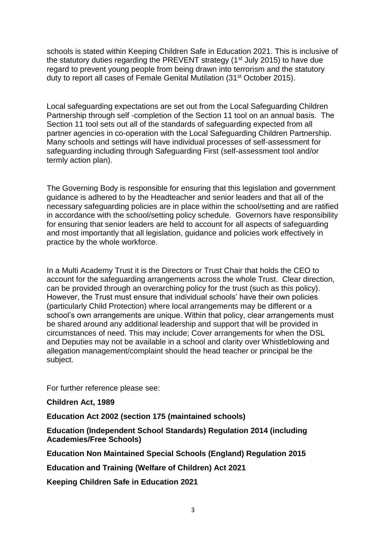schools is stated within Keeping Children Safe in Education 2021. This is inclusive of the statutory duties regarding the PREVENT strategy (1<sup>st</sup> July 2015) to have due regard to prevent young people from being drawn into terrorism and the statutory duty to report all cases of Female Genital Mutilation (31st October 2015).

Local safeguarding expectations are set out from the Local Safeguarding Children Partnership through self -completion of the Section 11 tool on an annual basis. The Section 11 tool sets out all of the standards of safeguarding expected from all partner agencies in co-operation with the Local Safeguarding Children Partnership. Many schools and settings will have individual processes of self-assessment for safeguarding including through Safeguarding First (self-assessment tool and/or termly action plan).

The Governing Body is responsible for ensuring that this legislation and government guidance is adhered to by the Headteacher and senior leaders and that all of the necessary safeguarding policies are in place within the school/setting and are ratified in accordance with the school/setting policy schedule. Governors have responsibility for ensuring that senior leaders are held to account for all aspects of safeguarding and most importantly that all legislation, guidance and policies work effectively in practice by the whole workforce.

In a Multi Academy Trust it is the Directors or Trust Chair that holds the CEO to account for the safeguarding arrangements across the whole Trust. Clear direction, can be provided through an overarching policy for the trust (such as this policy). However, the Trust must ensure that individual schools' have their own policies (particularly Child Protection) where local arrangements may be different or a school's own arrangements are unique. Within that policy, clear arrangements must be shared around any additional leadership and support that will be provided in circumstances of need. This may include; Cover arrangements for when the DSL and Deputies may not be available in a school and clarity over Whistleblowing and allegation management/complaint should the head teacher or principal be the subject.

For further reference please see:

**Children Act, 1989**

**Education Act 2002 (section 175 (maintained schools)**

**Education (Independent School Standards) Regulation 2014 (including Academies/Free Schools)**

**Education Non Maintained Special Schools (England) Regulation 2015**

**Education and Training (Welfare of Children) Act 2021**

**Keeping Children Safe in Education 2021**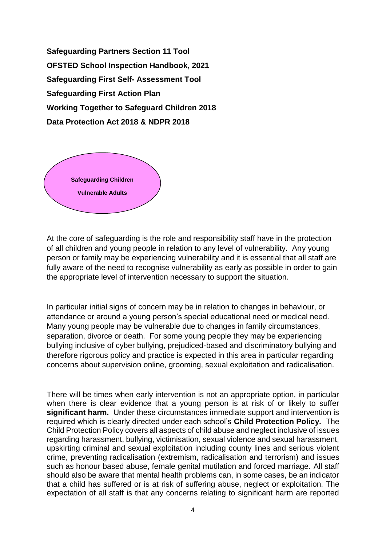**Safeguarding Partners Section 11 Tool OFSTED School Inspection Handbook, 2021 Safeguarding First Self- Assessment Tool Safeguarding First Action Plan Working Together to Safeguard Children 2018 Data Protection Act 2018 & NDPR 2018** 



At the core of safeguarding is the role and responsibility staff have in the protection of all children and young people in relation to any level of vulnerability. Any young person or family may be experiencing vulnerability and it is essential that all staff are fully aware of the need to recognise vulnerability as early as possible in order to gain the appropriate level of intervention necessary to support the situation.

In particular initial signs of concern may be in relation to changes in behaviour, or attendance or around a young person's special educational need or medical need. Many young people may be vulnerable due to changes in family circumstances, separation, divorce or death. For some young people they may be experiencing bullying inclusive of cyber bullying, prejudiced-based and discriminatory bullying and therefore rigorous policy and practice is expected in this area in particular regarding concerns about supervision online, grooming, sexual exploitation and radicalisation.

There will be times when early intervention is not an appropriate option, in particular when there is clear evidence that a young person is at risk of or likely to suffer **significant harm.** Under these circumstances immediate support and intervention is required which is clearly directed under each school's **Child Protection Policy.** The Child Protection Policy covers all aspects of child abuse and neglect inclusive of issues regarding harassment, bullying, victimisation, sexual violence and sexual harassment, upskirting criminal and sexual exploitation including county lines and serious violent crime, preventing radicalisation (extremism, radicalisation and terrorism) and issues such as honour based abuse, female genital mutilation and forced marriage. All staff should also be aware that mental health problems can, in some cases, be an indicator that a child has suffered or is at risk of suffering abuse, neglect or exploitation. The expectation of all staff is that any concerns relating to significant harm are reported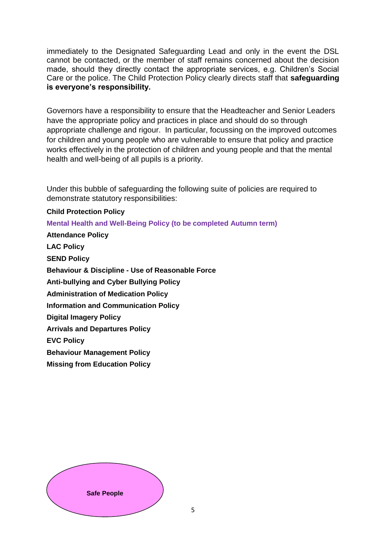immediately to the Designated Safeguarding Lead and only in the event the DSL cannot be contacted, or the member of staff remains concerned about the decision made, should they directly contact the appropriate services, e.g. Children's Social Care or the police. The Child Protection Policy clearly directs staff that **safeguarding is everyone's responsibility.**

Governors have a responsibility to ensure that the Headteacher and Senior Leaders have the appropriate policy and practices in place and should do so through appropriate challenge and rigour. In particular, focussing on the improved outcomes for children and young people who are vulnerable to ensure that policy and practice works effectively in the protection of children and young people and that the mental health and well-being of all pupils is a priority.

Under this bubble of safeguarding the following suite of policies are required to demonstrate statutory responsibilities:

## **Child Protection Policy**

**Mental Health and Well-Being Policy (to be completed Autumn term) Attendance Policy LAC Policy SEND Policy Behaviour & Discipline - Use of Reasonable Force Anti-bullying and Cyber Bullying Policy Administration of Medication Policy Information and Communication Policy Digital Imagery Policy Arrivals and Departures Policy EVC Policy Behaviour Management Policy Missing from Education Policy**

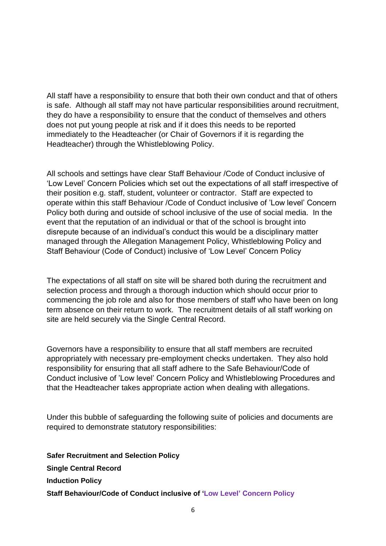All staff have a responsibility to ensure that both their own conduct and that of others is safe. Although all staff may not have particular responsibilities around recruitment, they do have a responsibility to ensure that the conduct of themselves and others does not put young people at risk and if it does this needs to be reported immediately to the Headteacher (or Chair of Governors if it is regarding the Headteacher) through the Whistleblowing Policy.

All schools and settings have clear Staff Behaviour /Code of Conduct inclusive of 'Low Level' Concern Policies which set out the expectations of all staff irrespective of their position e.g. staff, student, volunteer or contractor. Staff are expected to operate within this staff Behaviour /Code of Conduct inclusive of 'Low level' Concern Policy both during and outside of school inclusive of the use of social media. In the event that the reputation of an individual or that of the school is brought into disrepute because of an individual's conduct this would be a disciplinary matter managed through the Allegation Management Policy, Whistleblowing Policy and Staff Behaviour (Code of Conduct) inclusive of 'Low Level' Concern Policy

The expectations of all staff on site will be shared both during the recruitment and selection process and through a thorough induction which should occur prior to commencing the job role and also for those members of staff who have been on long term absence on their return to work. The recruitment details of all staff working on site are held securely via the Single Central Record.

Governors have a responsibility to ensure that all staff members are recruited appropriately with necessary pre-employment checks undertaken. They also hold responsibility for ensuring that all staff adhere to the Safe Behaviour/Code of Conduct inclusive of 'Low level' Concern Policy and Whistleblowing Procedures and that the Headteacher takes appropriate action when dealing with allegations.

Under this bubble of safeguarding the following suite of policies and documents are required to demonstrate statutory responsibilities:

**Safer Recruitment and Selection Policy Single Central Record Induction Policy Staff Behaviour/Code of Conduct inclusive of 'Low Level' Concern Policy**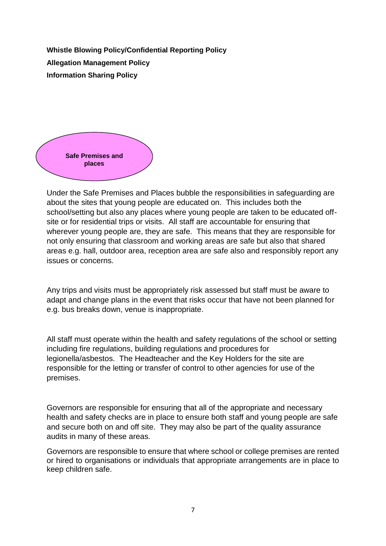**Whistle Blowing Policy/Confidential Reporting Policy Allegation Management Policy Information Sharing Policy** 



Under the Safe Premises and Places bubble the responsibilities in safeguarding are about the sites that young people are educated on. This includes both the school/setting but also any places where young people are taken to be educated offsite or for residential trips or visits. All staff are accountable for ensuring that wherever young people are, they are safe. This means that they are responsible for not only ensuring that classroom and working areas are safe but also that shared areas e.g. hall, outdoor area, reception area are safe also and responsibly report any issues or concerns.

Any trips and visits must be appropriately risk assessed but staff must be aware to adapt and change plans in the event that risks occur that have not been planned for e.g. bus breaks down, venue is inappropriate.

All staff must operate within the health and safety regulations of the school or setting including fire regulations, building regulations and procedures for legionella/asbestos. The Headteacher and the Key Holders for the site are responsible for the letting or transfer of control to other agencies for use of the premises.

Governors are responsible for ensuring that all of the appropriate and necessary health and safety checks are in place to ensure both staff and young people are safe and secure both on and off site. They may also be part of the quality assurance audits in many of these areas.

Governors are responsible to ensure that where school or college premises are rented or hired to organisations or individuals that appropriate arrangements are in place to keep children safe.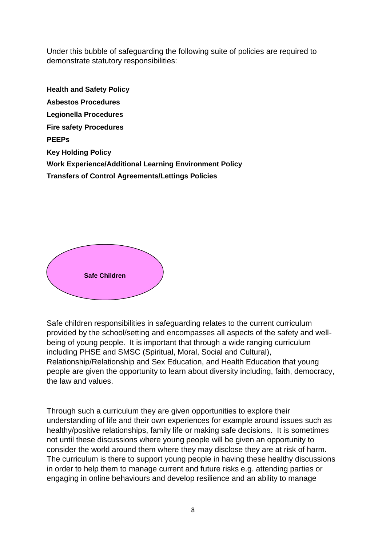Under this bubble of safeguarding the following suite of policies are required to demonstrate statutory responsibilities:

**Health and Safety Policy Asbestos Procedures Legionella Procedures Fire safety Procedures PEEPs Key Holding Policy Work Experience/Additional Learning Environment Policy Transfers of Control Agreements/Lettings Policies** 



Safe children responsibilities in safeguarding relates to the current curriculum provided by the school/setting and encompasses all aspects of the safety and wellbeing of young people. It is important that through a wide ranging curriculum including PHSE and SMSC (Spiritual, Moral, Social and Cultural), Relationship/Relationship and Sex Education, and Health Education that young people are given the opportunity to learn about diversity including, faith, democracy, the law and values.

Through such a curriculum they are given opportunities to explore their understanding of life and their own experiences for example around issues such as healthy/positive relationships, family life or making safe decisions. It is sometimes not until these discussions where young people will be given an opportunity to consider the world around them where they may disclose they are at risk of harm. The curriculum is there to support young people in having these healthy discussions in order to help them to manage current and future risks e.g. attending parties or engaging in online behaviours and develop resilience and an ability to manage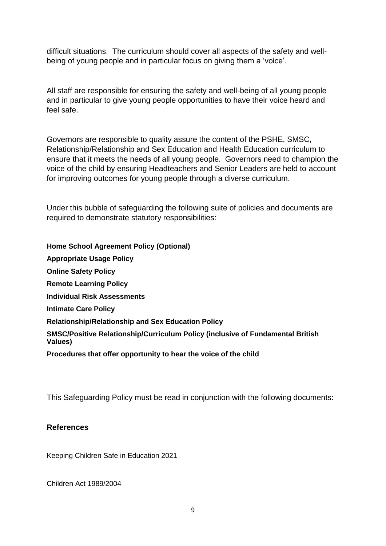difficult situations. The curriculum should cover all aspects of the safety and wellbeing of young people and in particular focus on giving them a 'voice'.

All staff are responsible for ensuring the safety and well-being of all young people and in particular to give young people opportunities to have their voice heard and feel safe.

Governors are responsible to quality assure the content of the PSHE, SMSC, Relationship/Relationship and Sex Education and Health Education curriculum to ensure that it meets the needs of all young people. Governors need to champion the voice of the child by ensuring Headteachers and Senior Leaders are held to account for improving outcomes for young people through a diverse curriculum.

Under this bubble of safeguarding the following suite of policies and documents are required to demonstrate statutory responsibilities:

**Home School Agreement Policy (Optional) Appropriate Usage Policy Online Safety Policy Remote Learning Policy Individual Risk Assessments Intimate Care Policy Relationship/Relationship and Sex Education Policy SMSC/Positive Relationship/Curriculum Policy (inclusive of Fundamental British Values) Procedures that offer opportunity to hear the voice of the child**

This Safeguarding Policy must be read in conjunction with the following documents:

## **References**

Keeping Children Safe in Education 2021

Children Act 1989/2004